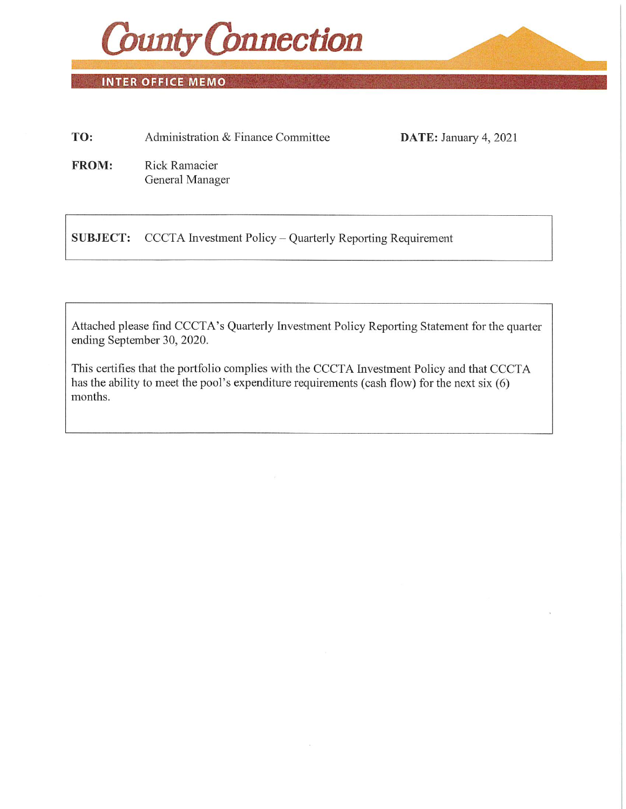

INTER OFFICE MEMO

| TO:                       | Administration & Finance Committee | DATE: January 4, 2021 |
|---------------------------|------------------------------------|-----------------------|
| money books, and the con- |                                    |                       |

FROM: Rick Ramacier General Manager

SUBJECT: CCCTA Investment Policy - Quarterly Reporting Requirement

Attached please find CCCTA's Quarterly Investment Policy Reporting Statement for the quarter ending September 30, 2020.

This certifies that the portfolio complies with the CCCTA Investment Policy and that CCCTA has the ability to meet the pool's expenditure requirements (cash flow) for the next six (6) months.